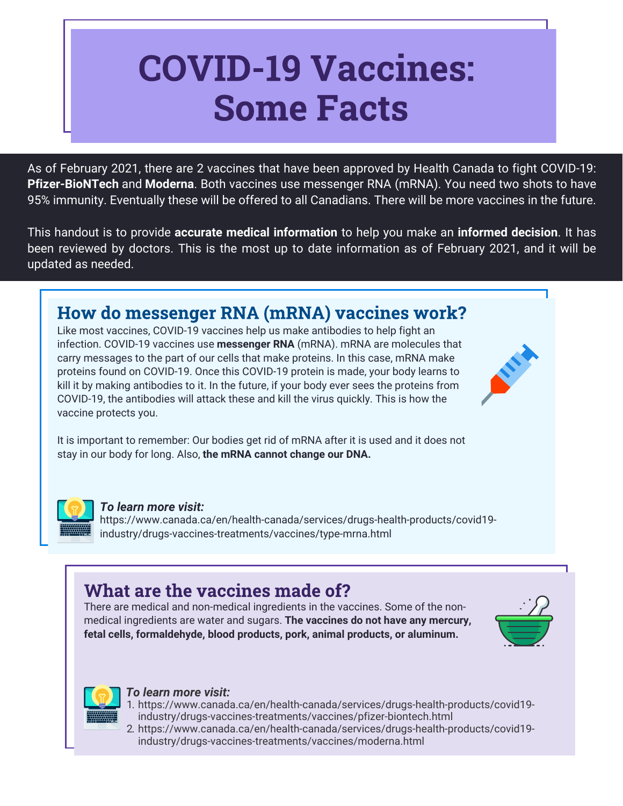# COVID-19 Vaccines: Some Facts

As of February 2021, there are 2 vaccines that have been approved by Health Canada to fight COVID-19: **Pfizer-BioNTech** and **Moderna**. Both vaccines use messenger RNA (mRNA). You need two shots to have 95% immunity. Eventually these will be offered to all Canadians. There will be more vaccines in the future.

This handout is to provide **accurate medical information** to help you make an **informed decision**. It has been reviewed by doctors. This is the most up to date information as of February 2021, and it will be updated as needed.

# How do messenger RNA (mRNA) vaccines work?

Like most vaccines, COVID-19 vaccines help us make antibodies to help fight an infection. COVID-19 vaccines use **messenger RNA** (mRNA). mRNA are molecules that carry messages to the part of our cells that make proteins. In this case, mRNA make proteins found on COVID-19. Once this COVID-19 protein is made, your body learns to kill it by making antibodies to it. In the future, if your body ever sees the proteins from COVID-19, the antibodies will attack these and kill the virus quickly. This is how the vaccine protects you.

It is important to remember: Our bodies get rid of mRNA after it is used and it does not stay in our body for long. Also, **the mRNA cannot change our DNA.**



### *To learn more visit:*

https://www.canada.ca/en/health-canada/services/drugs-health-products/covid19 industry/drugs-vaccines-treatments/vaccines/type-mrna.html

## What are the vaccines made of?

There are medical and non-medical ingredients in the vaccines. Some of the nonmedical ingredients are water and sugars. **The vaccines do not have any mercury, fetal cells, formaldehyde, blood products, pork, animal products, or aluminum.**



# *To learn more visit:*

- 1. https://www.canada.ca/en/health-canada/services/drugs-health-products/covid19 industry/drugs-vaccines-treatments/vaccines/pfizer-biontech.html
- 2. https://www.canada.ca/en/health-canada/services/drugs-health-products/covid19 industry/drugs-vaccines-treatments/vaccines/moderna.html